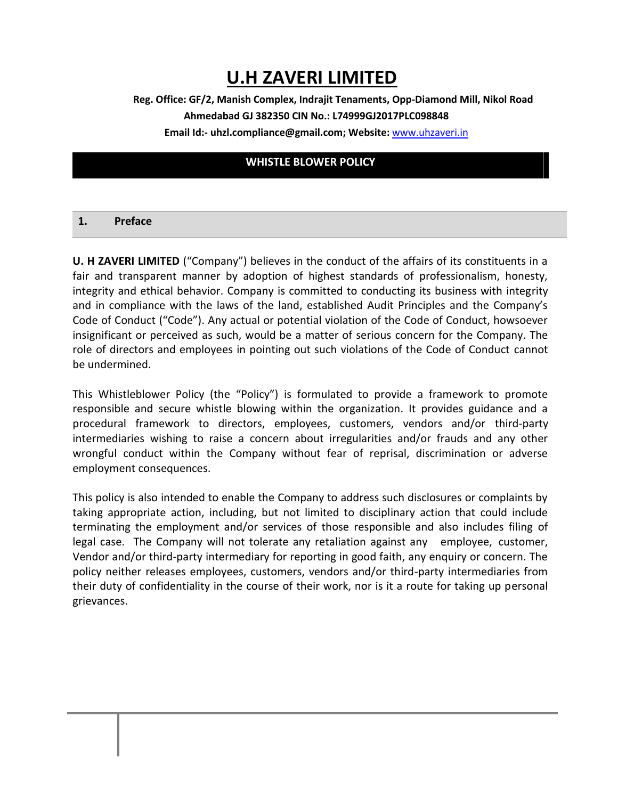# **U.H ZAVERI LIMITED**

# **Reg. Office: GF/2, Manish Complex, Indrajit Tenaments, Opp-Diamond Mill, Nikol Road Ahmedabad GJ 382350 CIN No.: L74999GJ2017PLC098848 Email Id:- uhzl.compliance@gmail.com; Website:** [www.uhzaveri.i](http://www.uhzaveri./)n

# **WHISTLE BLOWER POLICY**

#### **1. Preface**

**U. H ZAVERI LIMITED** ("Company") believes in the conduct of the affairs of its constituents in a fair and transparent manner by adoption of highest standards of professionalism, honesty, integrity and ethical behavior. Company is committed to conducting its business with integrity and in compliance with the laws of the land, established Audit Principles and the Company's Code of Conduct ("Code"). Any actual or potential violation of the Code of Conduct, howsoever insignificant or perceived as such, would be a matter of serious concern for the Company. The role of directors and employees in pointing out such violations of the Code of Conduct cannot be undermined.

This Whistleblower Policy (the "Policy") is formulated to provide a framework to promote responsible and secure whistle blowing within the organization. It provides guidance and a procedural framework to directors, employees, customers, vendors and/or third-party intermediaries wishing to raise a concern about irregularities and/or frauds and any other wrongful conduct within the Company without fear of reprisal, discrimination or adverse employment consequences.

This policy is also intended to enable the Company to address such disclosures or complaints by taking appropriate action, including, but not limited to disciplinary action that could include terminating the employment and/or services of those responsible and also includes filing of legal case. The Company will not tolerate any retaliation against any employee, customer, Vendor and/or third-party intermediary for reporting in good faith, any enquiry or concern. The policy neither releases employees, customers, vendors and/or third-party intermediaries from their duty of confidentiality in the course of their work, nor is it a route for taking up personal grievances.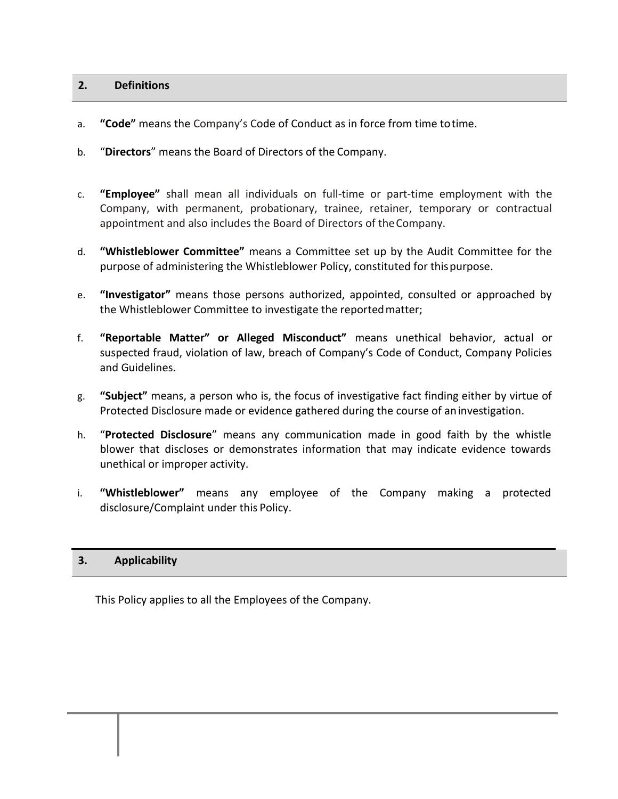## **2. Definitions**

- a. **"Code"** means the Company's Code of Conduct as in force from time totime.
- b. "**Directors**" means the Board of Directors of the Company.
- c. **"Employee"** shall mean all individuals on full-time or part-time employment with the Company, with permanent, probationary, trainee, retainer, temporary or contractual appointment and also includes the Board of Directors of theCompany.
- d. **"Whistleblower Committee"** means a Committee set up by the Audit Committee for the purpose of administering the Whistleblower Policy, constituted for thispurpose.
- e. **"Investigator"** means those persons authorized, appointed, consulted or approached by the Whistleblower Committee to investigate the reportedmatter;
- f. **"Reportable Matter" or Alleged Misconduct"** means unethical behavior, actual or suspected fraud, violation of law, breach of Company's Code of Conduct, Company Policies and Guidelines.
- g. **"Subject"** means, a person who is, the focus of investigative fact finding either by virtue of Protected Disclosure made or evidence gathered during the course of aninvestigation.
- h. "**Protected Disclosure**" means any communication made in good faith by the whistle blower that discloses or demonstrates information that may indicate evidence towards unethical or improper activity.
- i. **"Whistleblower"** means any employee of the Company making a protected disclosure/Complaint under this Policy.

# **3. Applicability**

This Policy applies to all the Employees of the Company.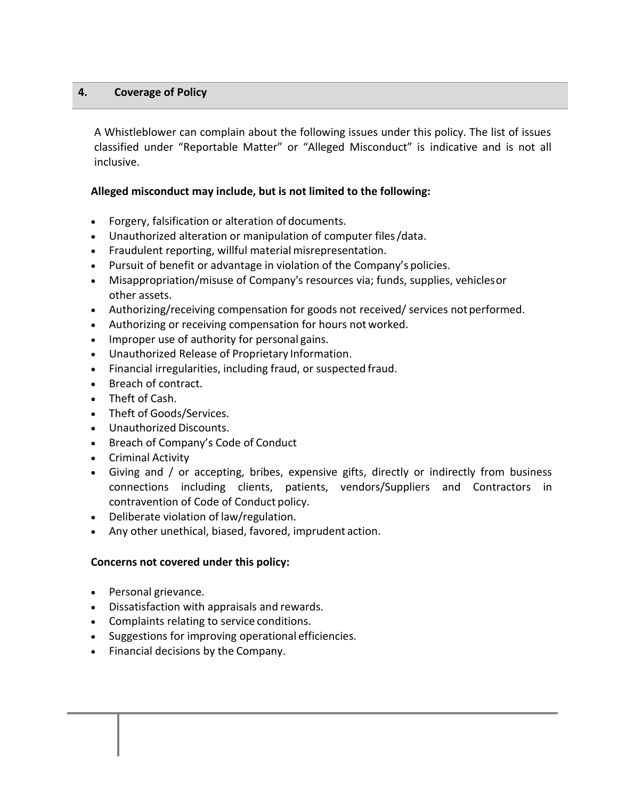## **4. Coverage of Policy**

A Whistleblower can complain about the following issues under this policy. The list of issues classified under "Reportable Matter" or "Alleged Misconduct" is indicative and is not all inclusive.

## **Alleged misconduct may include, but is not limited to the following:**

- Forgery, falsification or alteration of documents.
- Unauthorized alteration or manipulation of computer files/data.
- Fraudulent reporting, willful material misrepresentation.
- Pursuit of benefit or advantage in violation of the Company's policies.
- Misappropriation/misuse of Company's resources via; funds, supplies, vehiclesor other assets.
- Authorizing/receiving compensation for goods not received/ services not performed.
- Authorizing or receiving compensation for hours not worked.
- Improper use of authority for personal gains.
- Unauthorized Release of Proprietary Information.
- Financial irregularities, including fraud, or suspected fraud.
- Breach of contract.
- Theft of Cash.
- Theft of Goods/Services.
- Unauthorized Discounts.
- Breach of Company's Code of Conduct
- Criminal Activity
- Giving and / or accepting, bribes, expensive gifts, directly or indirectly from business connections including clients, patients, vendors/Suppliers and Contractors in contravention of Code of Conduct policy.
- Deliberate violation of law/regulation.
- Any other unethical, biased, favored, imprudent action.

## **Concerns not covered under this policy:**

- Personal grievance.
- Dissatisfaction with appraisals and rewards.
- Complaints relating to service conditions.
- Suggestions for improving operational efficiencies.
- Financial decisions by the Company.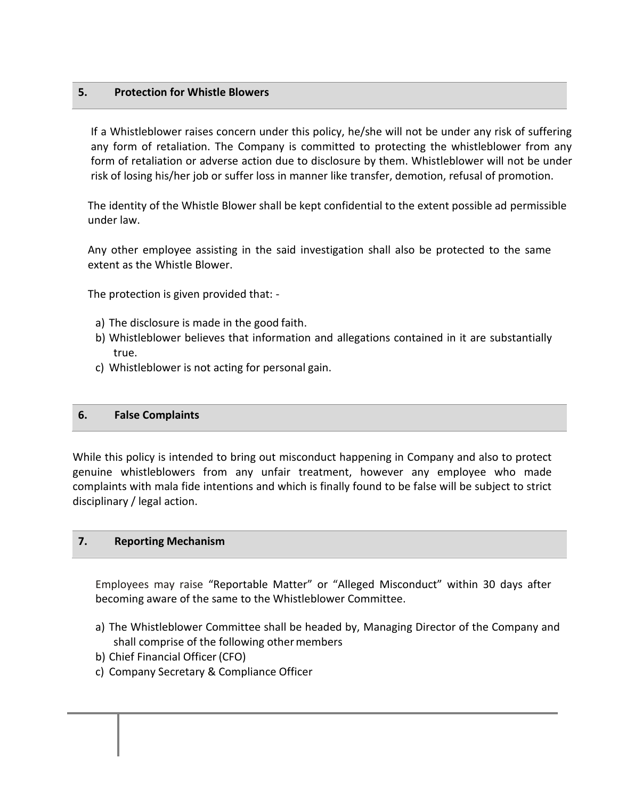## **5. Protection for Whistle Blowers**

If a Whistleblower raises concern under this policy, he/she will not be under any risk of suffering any form of retaliation. The Company is committed to protecting the whistleblower from any form of retaliation or adverse action due to disclosure by them. Whistleblower will not be under risk of losing his/her job or suffer loss in manner like transfer, demotion, refusal of promotion.

The identity of the Whistle Blower shall be kept confidential to the extent possible ad permissible under law.

Any other employee assisting in the said investigation shall also be protected to the same extent as the Whistle Blower.

The protection is given provided that: -

- a) The disclosure is made in the good faith.
- b) Whistleblower believes that information and allegations contained in it are substantially true.
- c) Whistleblower is not acting for personal gain.

#### **6. False Complaints**

While this policy is intended to bring out misconduct happening in Company and also to protect genuine whistleblowers from any unfair treatment, however any employee who made complaints with mala fide intentions and which is finally found to be false will be subject to strict disciplinary / legal action.

#### **7. Reporting Mechanism**

Employees may raise "Reportable Matter" or "Alleged Misconduct" within 30 days after becoming aware of the same to the Whistleblower Committee.

- a) The Whistleblower Committee shall be headed by, Managing Director of the Company and shall comprise of the following other members
- b) Chief Financial Officer(CFO)
- c) Company Secretary & Compliance Officer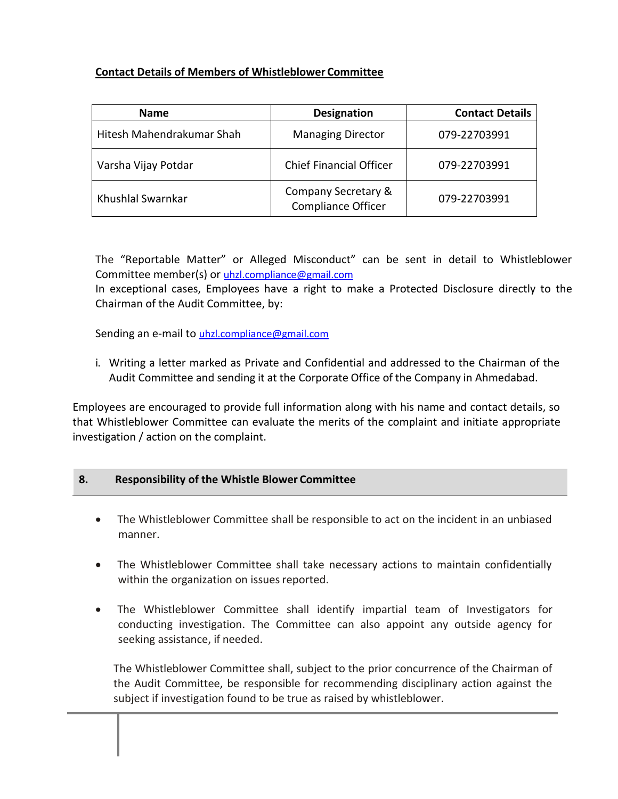# **Contact Details of Members of Whistleblower Committee**

| <b>Name</b>               | <b>Designation</b>                               | <b>Contact Details</b> |
|---------------------------|--------------------------------------------------|------------------------|
| Hitesh Mahendrakumar Shah | <b>Managing Director</b>                         | 079-22703991           |
| Varsha Vijay Potdar       | <b>Chief Financial Officer</b>                   | 079-22703991           |
| Khushlal Swarnkar         | Company Secretary &<br><b>Compliance Officer</b> | 079-22703991           |

The "Reportable Matter" or Alleged Misconduct" can be sent in detail to Whistleblower Committee member(s) or [uhzl.compliance@gmail.com](mailto:uhzl.compliance@gmail.com)

In exceptional cases, Employees have a right to make a Protected Disclosure directly to the Chairman of the Audit Committee, by:

Sending an e-mail to [uhzl.compliance@gmail.com](mailto:uhzl.compliance@gmail.com)

i. Writing a letter marked as Private and Confidential and addressed to the Chairman of the Audit Committee and sending it at the Corporate Office of the Company in Ahmedabad.

Employees are encouraged to provide full information along with his name and contact details, so that Whistleblower Committee can evaluate the merits of the complaint and initiate appropriate investigation / action on the complaint.

# **8. Responsibility of the Whistle Blower Committee**

- The Whistleblower Committee shall be responsible to act on the incident in an unbiased manner.
- The Whistleblower Committee shall take necessary actions to maintain confidentially within the organization on issues reported.
- The Whistleblower Committee shall identify impartial team of Investigators for conducting investigation. The Committee can also appoint any outside agency for seeking assistance, if needed.

The Whistleblower Committee shall, subject to the prior concurrence of the Chairman of the Audit Committee, be responsible for recommending disciplinary action against the subject if investigation found to be true as raised by whistleblower.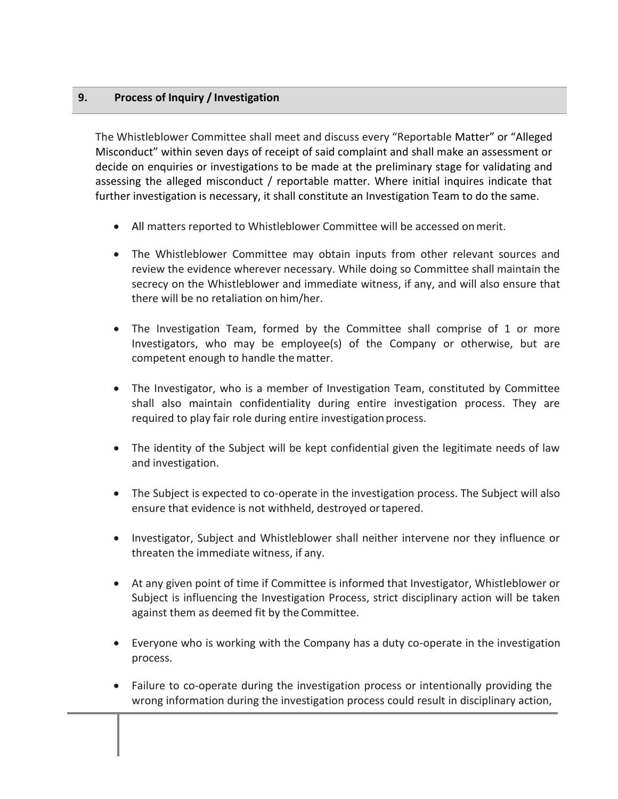# **9. Process of Inquiry / Investigation**

The Whistleblower Committee shall meet and discuss every "Reportable Matter" or "Alleged Misconduct" within seven days of receipt of said complaint and shall make an assessment or decide on enquiries or investigations to be made at the preliminary stage for validating and assessing the alleged misconduct / reportable matter. Where initial inquires indicate that further investigation is necessary, it shall constitute an Investigation Team to do the same.

- All matters reported to Whistleblower Committee will be accessed onmerit.
- The Whistleblower Committee may obtain inputs from other relevant sources and review the evidence wherever necessary. While doing so Committee shall maintain the secrecy on the Whistleblower and immediate witness, if any, and will also ensure that there will be no retaliation on him/her.
- The Investigation Team, formed by the Committee shall comprise of 1 or more Investigators, who may be employee(s) of the Company or otherwise, but are competent enough to handle thematter.
- The Investigator, who is a member of Investigation Team, constituted by Committee shall also maintain confidentiality during entire investigation process. They are required to play fair role during entire investigation process.
- The identity of the Subject will be kept confidential given the legitimate needs of law and investigation.
- The Subject is expected to co-operate in the investigation process. The Subject will also ensure that evidence is not withheld, destroyed ortapered.
- Investigator, Subject and Whistleblower shall neither intervene nor they influence or threaten the immediate witness, if any.
- At any given point of time if Committee is informed that Investigator, Whistleblower or Subject is influencing the Investigation Process, strict disciplinary action will be taken against them as deemed fit by the Committee.
- Everyone who is working with the Company has a duty co-operate in the investigation process.
- Failure to co-operate during the investigation process or intentionally providing the wrong information during the investigation process could result in disciplinary action,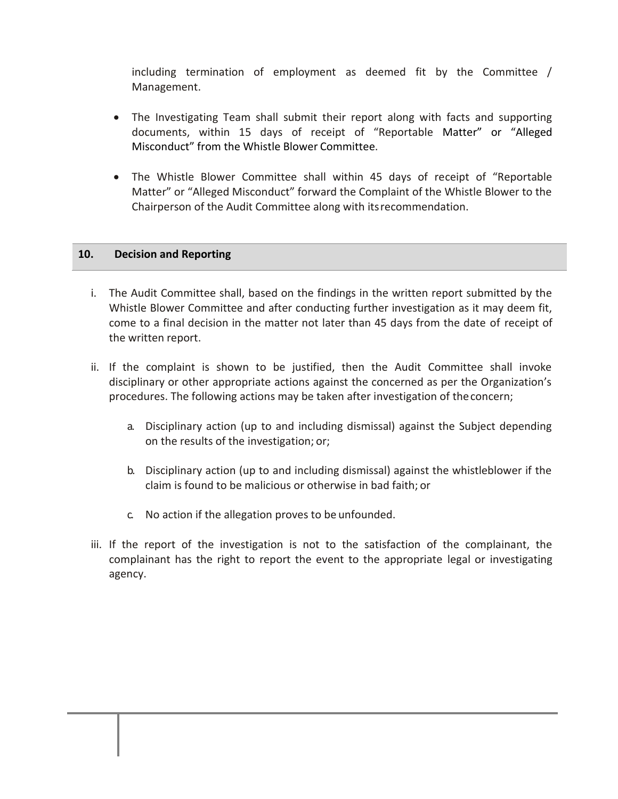including termination of employment as deemed fit by the Committee / Management.

- The Investigating Team shall submit their report along with facts and supporting documents, within 15 days of receipt of "Reportable Matter" or "Alleged Misconduct" from the Whistle Blower Committee.
- The Whistle Blower Committee shall within 45 days of receipt of "Reportable Matter" or "Alleged Misconduct" forward the Complaint of the Whistle Blower to the Chairperson of the Audit Committee along with itsrecommendation.

## **10. Decision and Reporting**

- i. The Audit Committee shall, based on the findings in the written report submitted by the Whistle Blower Committee and after conducting further investigation as it may deem fit, come to a final decision in the matter not later than 45 days from the date of receipt of the written report.
- ii. If the complaint is shown to be justified, then the Audit Committee shall invoke disciplinary or other appropriate actions against the concerned as per the Organization's procedures. The following actions may be taken after investigation of theconcern;
	- a. Disciplinary action (up to and including dismissal) against the Subject depending on the results of the investigation; or;
	- b. Disciplinary action (up to and including dismissal) against the whistleblower if the claim is found to be malicious or otherwise in bad faith; or
	- c. No action if the allegation proves to be unfounded.
- iii. If the report of the investigation is not to the satisfaction of the complainant, the complainant has the right to report the event to the appropriate legal or investigating agency.